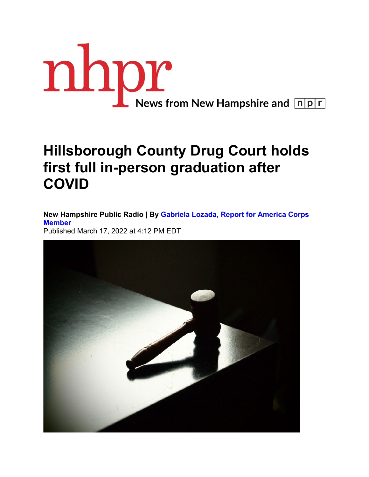

## **Hillsborough County Drug Court holds first full in-person graduation after COVID**

**New Hampshire Public Radio | By [Gabriela Lozada, Report for America Corps](https://www.nhpr.org/people/gabriela-lozada)  [Member](https://www.nhpr.org/people/gabriela-lozada)** Published March 17, 2022 at 4:12 PM EDT